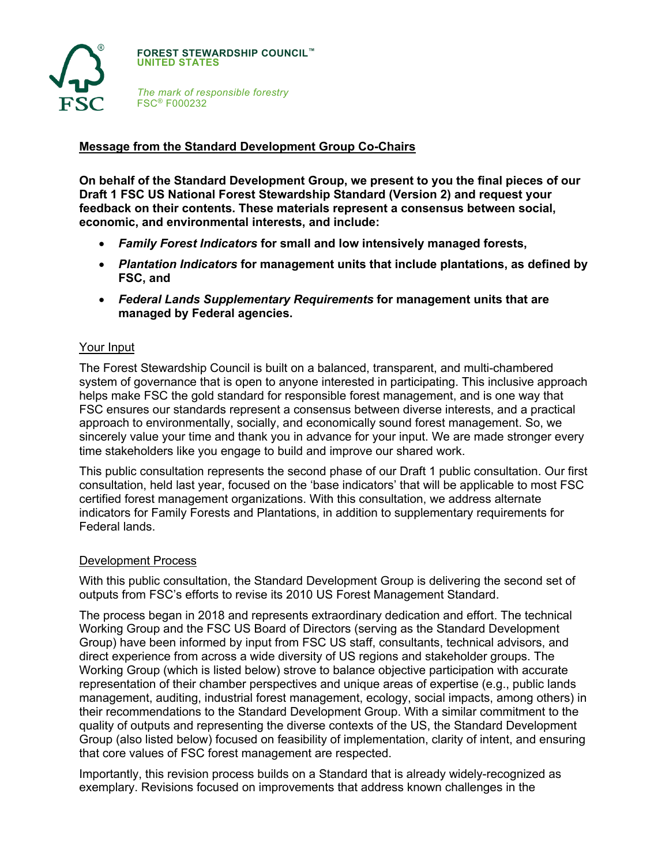

**FOREST STEWARDSHIP COUNCIL™ UNITED STATES**

*The mark of responsible forestry* FSC® F000232

## **Message from the Standard Development Group Co-Chairs**

**On behalf of the Standard Development Group, we present to you the final pieces of our Draft 1 FSC US National Forest Stewardship Standard (Version 2) and request your feedback on their contents. These materials represent a consensus between social, economic, and environmental interests, and include:**

- *Family Forest Indicators* **for small and low intensively managed forests,**
- *Plantation Indicators* **for management units that include plantations, as defined by FSC, and**
- *Federal Lands Supplementary Requirements* **for management units that are managed by Federal agencies.**

#### Your Input

The Forest Stewardship Council is built on a balanced, transparent, and multi-chambered system of governance that is open to anyone interested in participating. This inclusive approach helps make FSC the gold standard for responsible forest management, and is one way that FSC ensures our standards represent a consensus between diverse interests, and a practical approach to environmentally, socially, and economically sound forest management. So, we sincerely value your time and thank you in advance for your input. We are made stronger every time stakeholders like you engage to build and improve our shared work.

This public consultation represents the second phase of our Draft 1 public consultation. Our first consultation, held last year, focused on the 'base indicators' that will be applicable to most FSC certified forest management organizations. With this consultation, we address alternate indicators for Family Forests and Plantations, in addition to supplementary requirements for Federal lands.

#### Development Process

With this public consultation, the Standard Development Group is delivering the second set of outputs from FSC's efforts to revise its 2010 US Forest Management Standard.

The process began in 2018 and represents extraordinary dedication and effort. The technical Working Group and the FSC US Board of Directors (serving as the Standard Development Group) have been informed by input from FSC US staff, consultants, technical advisors, and direct experience from across a wide diversity of US regions and stakeholder groups. The Working Group (which is listed below) strove to balance objective participation with accurate representation of their chamber perspectives and unique areas of expertise (e.g., public lands management, auditing, industrial forest management, ecology, social impacts, among others) in their recommendations to the Standard Development Group. With a similar commitment to the quality of outputs and representing the diverse contexts of the US, the Standard Development Group (also listed below) focused on feasibility of implementation, clarity of intent, and ensuring that core values of FSC forest management are respected.

Importantly, this revision process builds on a Standard that is already widely-recognized as exemplary. Revisions focused on improvements that address known challenges in the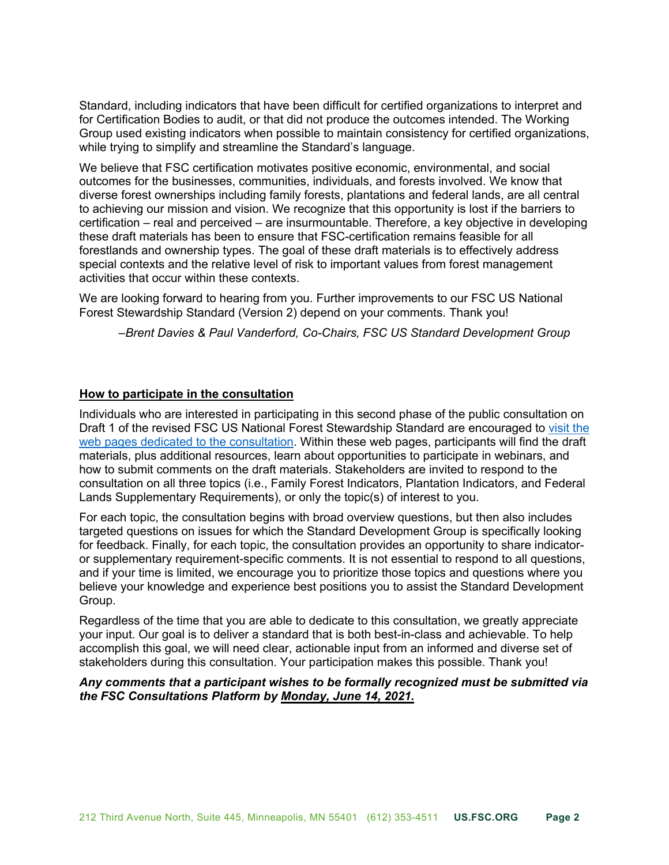Standard, including indicators that have been difficult for certified organizations to interpret and for Certification Bodies to audit, or that did not produce the outcomes intended. The Working Group used existing indicators when possible to maintain consistency for certified organizations, while trying to simplify and streamline the Standard's language.

We believe that FSC certification motivates positive economic, environmental, and social outcomes for the businesses, communities, individuals, and forests involved. We know that diverse forest ownerships including family forests, plantations and federal lands, are all central to achieving our mission and vision. We recognize that this opportunity is lost if the barriers to certification – real and perceived – are insurmountable. Therefore, a key objective in developing these draft materials has been to ensure that FSC-certification remains feasible for all forestlands and ownership types. The goal of these draft materials is to effectively address special contexts and the relative level of risk to important values from forest management activities that occur within these contexts.

We are looking forward to hearing from you. Further improvements to our FSC US National Forest Stewardship Standard (Version 2) depend on your comments. Thank you!

*–Brent Davies & Paul Vanderford, Co-Chairs, FSC US Standard Development Group*

### **How to participate in the consultation**

Individuals who are interested in participating in this second phase of the public consultation on Draft 1 of the revised FSC US National Forest Stewardship Standard are encouraged t[o visit the](https://www.engage.us.fsc.org)  [web pages dedicated to the consultation.](https://www.engage.us.fsc.org) Within these web pages, participants will find the draft materials, plus additional resources, learn about opportunities to participate in webinars, and how to submit comments on the draft materials. Stakeholders are invited to respond to the consultation on all three topics (i.e., Family Forest Indicators, Plantation Indicators, and Federal Lands Supplementary Requirements), or only the topic(s) of interest to you.

For each topic, the consultation begins with broad overview questions, but then also includes targeted questions on issues for which the Standard Development Group is specifically looking for feedback. Finally, for each topic, the consultation provides an opportunity to share indicatoror supplementary requirement-specific comments. It is not essential to respond to all questions, and if your time is limited, we encourage you to prioritize those topics and questions where you believe your knowledge and experience best positions you to assist the Standard Development Group.

Regardless of the time that you are able to dedicate to this consultation, we greatly appreciate your input. Our goal is to deliver a standard that is both best-in-class and achievable. To help accomplish this goal, we will need clear, actionable input from an informed and diverse set of stakeholders during this consultation. Your participation makes this possible. Thank you!

### *Any comments that a participant wishes to be formally recognized must be submitted via the FSC Consultations Platform by Monday, June 14, 2021.*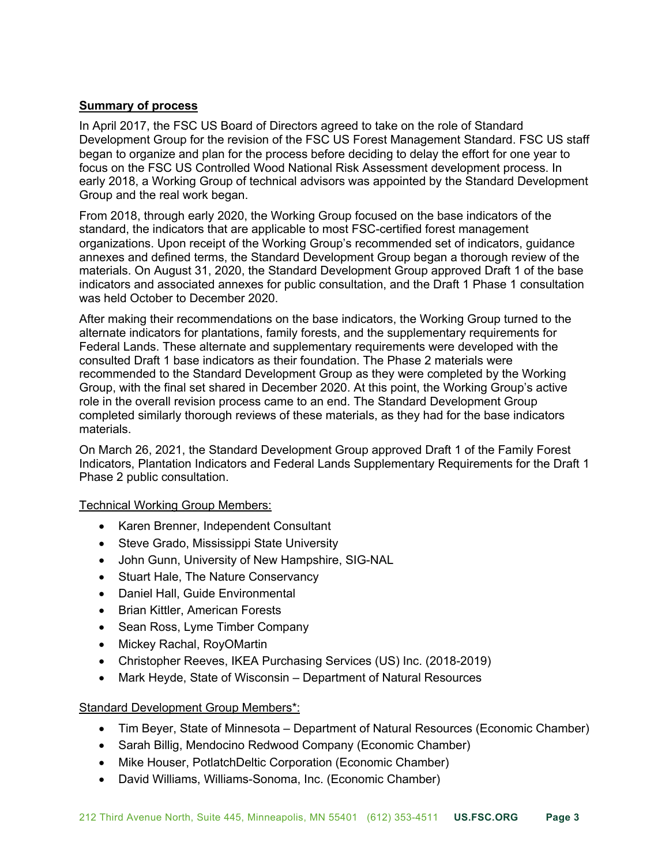## **Summary of process**

In April 2017, the FSC US Board of Directors agreed to take on the role of Standard Development Group for the revision of the FSC US Forest Management Standard. FSC US staff began to organize and plan for the process before deciding to delay the effort for one year to focus on the FSC US Controlled Wood National Risk Assessment development process. In early 2018, a Working Group of technical advisors was appointed by the Standard Development Group and the real work began.

From 2018, through early 2020, the Working Group focused on the base indicators of the standard, the indicators that are applicable to most FSC-certified forest management organizations. Upon receipt of the Working Group's recommended set of indicators, guidance annexes and defined terms, the Standard Development Group began a thorough review of the materials. On August 31, 2020, the Standard Development Group approved Draft 1 of the base indicators and associated annexes for public consultation, and the Draft 1 Phase 1 consultation was held October to December 2020.

After making their recommendations on the base indicators, the Working Group turned to the alternate indicators for plantations, family forests, and the supplementary requirements for Federal Lands. These alternate and supplementary requirements were developed with the consulted Draft 1 base indicators as their foundation. The Phase 2 materials were recommended to the Standard Development Group as they were completed by the Working Group, with the final set shared in December 2020. At this point, the Working Group's active role in the overall revision process came to an end. The Standard Development Group completed similarly thorough reviews of these materials, as they had for the base indicators materials.

On March 26, 2021, the Standard Development Group approved Draft 1 of the Family Forest Indicators, Plantation Indicators and Federal Lands Supplementary Requirements for the Draft 1 Phase 2 public consultation.

#### Technical Working Group Members:

- Karen Brenner, Independent Consultant
- Steve Grado, Mississippi State University
- John Gunn, University of New Hampshire, SIG-NAL
- Stuart Hale, The Nature Conservancy
- Daniel Hall, Guide Environmental
- Brian Kittler, American Forests
- Sean Ross, Lyme Timber Company
- Mickey Rachal, RoyOMartin
- Christopher Reeves, IKEA Purchasing Services (US) Inc. (2018-2019)
- Mark Heyde, State of Wisconsin Department of Natural Resources

# Standard Development Group Members\*:

- Tim Beyer, State of Minnesota Department of Natural Resources (Economic Chamber)
- Sarah Billig, Mendocino Redwood Company (Economic Chamber)
- Mike Houser, PotlatchDeltic Corporation (Economic Chamber)
- David Williams, Williams-Sonoma, Inc. (Economic Chamber)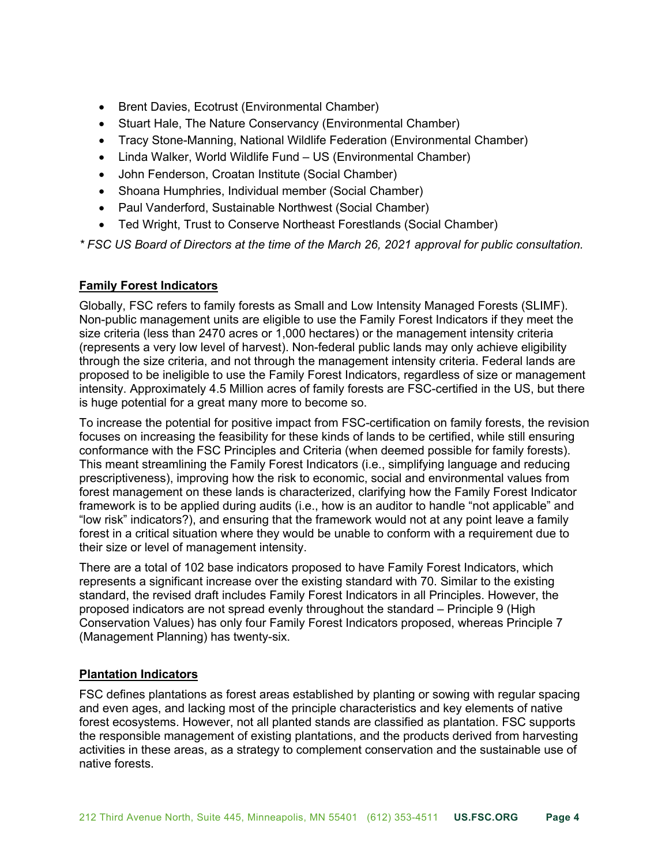- Brent Davies, Ecotrust (Environmental Chamber)
- Stuart Hale, The Nature Conservancy (Environmental Chamber)
- Tracy Stone-Manning, National Wildlife Federation (Environmental Chamber)
- Linda Walker, World Wildlife Fund US (Environmental Chamber)
- John Fenderson, Croatan Institute (Social Chamber)
- Shoana Humphries, Individual member (Social Chamber)
- Paul Vanderford, Sustainable Northwest (Social Chamber)
- Ted Wright, Trust to Conserve Northeast Forestlands (Social Chamber)

*\* FSC US Board of Directors at the time of the March 26, 2021 approval for public consultation.*

# **Family Forest Indicators**

Globally, FSC refers to family forests as Small and Low Intensity Managed Forests (SLIMF). Non-public management units are eligible to use the Family Forest Indicators if they meet the size criteria (less than 2470 acres or 1,000 hectares) or the management intensity criteria (represents a very low level of harvest). Non-federal public lands may only achieve eligibility through the size criteria, and not through the management intensity criteria. Federal lands are proposed to be ineligible to use the Family Forest Indicators, regardless of size or management intensity. Approximately 4.5 Million acres of family forests are FSC-certified in the US, but there is huge potential for a great many more to become so.

To increase the potential for positive impact from FSC-certification on family forests, the revision focuses on increasing the feasibility for these kinds of lands to be certified, while still ensuring conformance with the FSC Principles and Criteria (when deemed possible for family forests). This meant streamlining the Family Forest Indicators (i.e., simplifying language and reducing prescriptiveness), improving how the risk to economic, social and environmental values from forest management on these lands is characterized, clarifying how the Family Forest Indicator framework is to be applied during audits (i.e., how is an auditor to handle "not applicable" and "low risk" indicators?), and ensuring that the framework would not at any point leave a family forest in a critical situation where they would be unable to conform with a requirement due to their size or level of management intensity.

There are a total of 102 base indicators proposed to have Family Forest Indicators, which represents a significant increase over the existing standard with 70. Similar to the existing standard, the revised draft includes Family Forest Indicators in all Principles. However, the proposed indicators are not spread evenly throughout the standard – Principle 9 (High Conservation Values) has only four Family Forest Indicators proposed, whereas Principle 7 (Management Planning) has twenty-six.

# **Plantation Indicators**

FSC defines plantations as forest areas established by planting or sowing with regular spacing and even ages, and lacking most of the principle characteristics and key elements of native forest ecosystems. However, not all planted stands are classified as plantation. FSC supports the responsible management of existing plantations, and the products derived from harvesting activities in these areas, as a strategy to complement conservation and the sustainable use of native forests.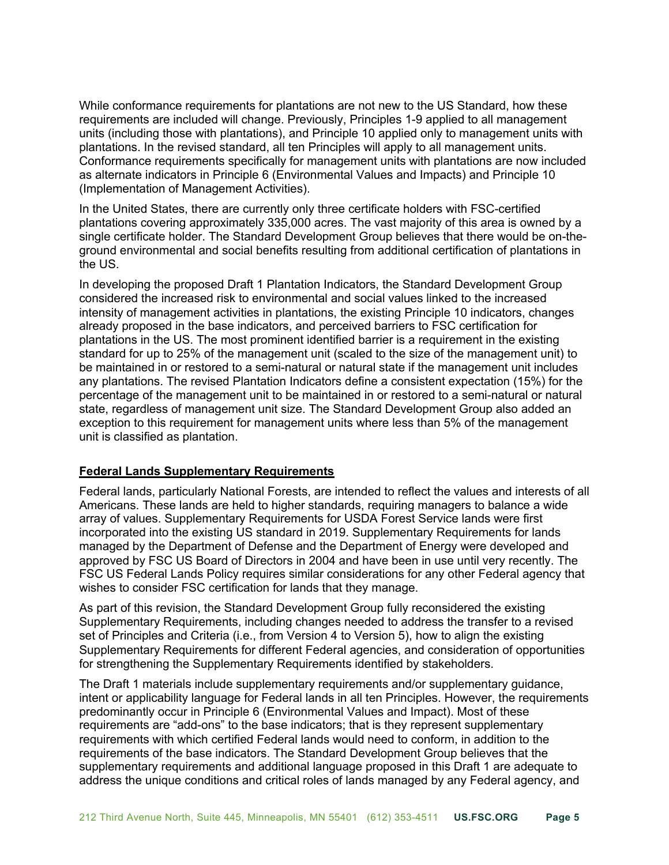While conformance requirements for plantations are not new to the US Standard, how these requirements are included will change. Previously, Principles 1-9 applied to all management units (including those with plantations), and Principle 10 applied only to management units with plantations. In the revised standard, all ten Principles will apply to all management units. Conformance requirements specifically for management units with plantations are now included as alternate indicators in Principle 6 (Environmental Values and Impacts) and Principle 10 (Implementation of Management Activities).

In the United States, there are currently only three certificate holders with FSC-certified plantations covering approximately 335,000 acres. The vast majority of this area is owned by a single certificate holder. The Standard Development Group believes that there would be on-theground environmental and social benefits resulting from additional certification of plantations in the US.

In developing the proposed Draft 1 Plantation Indicators, the Standard Development Group considered the increased risk to environmental and social values linked to the increased intensity of management activities in plantations, the existing Principle 10 indicators, changes already proposed in the base indicators, and perceived barriers to FSC certification for plantations in the US. The most prominent identified barrier is a requirement in the existing standard for up to 25% of the management unit (scaled to the size of the management unit) to be maintained in or restored to a semi-natural or natural state if the management unit includes any plantations. The revised Plantation Indicators define a consistent expectation (15%) for the percentage of the management unit to be maintained in or restored to a semi-natural or natural state, regardless of management unit size. The Standard Development Group also added an exception to this requirement for management units where less than 5% of the management unit is classified as plantation.

# **Federal Lands Supplementary Requirements**

Federal lands, particularly National Forests, are intended to reflect the values and interests of all Americans. These lands are held to higher standards, requiring managers to balance a wide array of values. Supplementary Requirements for USDA Forest Service lands were first incorporated into the existing US standard in 2019. Supplementary Requirements for lands managed by the Department of Defense and the Department of Energy were developed and approved by FSC US Board of Directors in 2004 and have been in use until very recently. The FSC US Federal Lands Policy requires similar considerations for any other Federal agency that wishes to consider FSC certification for lands that they manage.

As part of this revision, the Standard Development Group fully reconsidered the existing Supplementary Requirements, including changes needed to address the transfer to a revised set of Principles and Criteria (i.e., from Version 4 to Version 5), how to align the existing Supplementary Requirements for different Federal agencies, and consideration of opportunities for strengthening the Supplementary Requirements identified by stakeholders.

The Draft 1 materials include supplementary requirements and/or supplementary guidance, intent or applicability language for Federal lands in all ten Principles. However, the requirements predominantly occur in Principle 6 (Environmental Values and Impact). Most of these requirements are "add-ons" to the base indicators; that is they represent supplementary requirements with which certified Federal lands would need to conform, in addition to the requirements of the base indicators. The Standard Development Group believes that the supplementary requirements and additional language proposed in this Draft 1 are adequate to address the unique conditions and critical roles of lands managed by any Federal agency, and